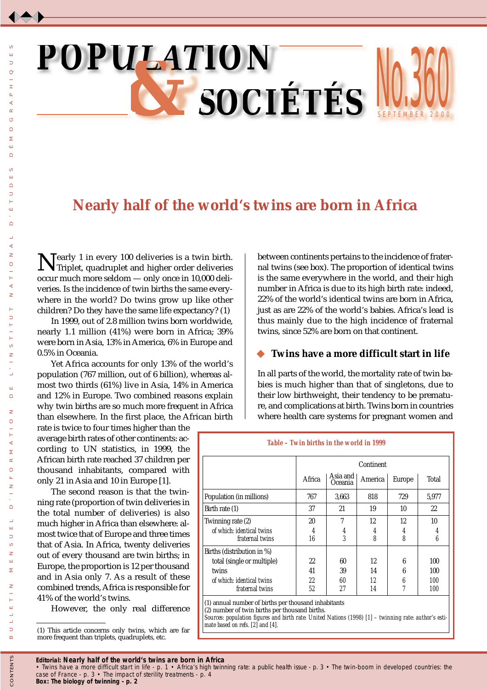# INU. S EPTEMBER 200 **JUU**  $\boldsymbol{POPUI} \boldsymbol{A} \boldsymbol{TION}$ *&SOCIÉTÉS*

# **Nearly half of the world's twins are born in Africa**

Nearly 1 in every 100 deliveries is a twin birth.<br>Triplet, quadruplet and higher order deliveries occur much more seldom — only once in 10,000 deliveries. Is the incidence of twin births the same everywhere in the world? Do twins grow up like other children? Do they have the same life expectancy? (1)

In 1999, out of 2.8 million twins born worldwide, nearly 1.1 million (41%) were born in Africa; 39% were born in Asia, 13% in America, 6% in Europe and 0.5% in Oceania.

Yet Africa accounts for only 13% of the world's population (767 million, out of 6 billion), whereas almost two thirds (61%) live in Asia, 14% in America and 12% in Europe. Two combined reasons explain why twin births are so much more frequent in Africa than elsewhere. In the first place, the African birth

rate is twice to four times higher than the average birth rates of other continents: according to UN statistics, in 1999, the African birth rate reached 37 children per thousand inhabitants, compared with only 21 in Asia and 10 in Europe [1].

The second reason is that the twinning rate (proportion of twin deliveries in the total number of deliveries) is also much higher in Africa than elsewhere: almost twice that of Europe and three times that of Asia. In Africa, twenty deliveries out of every thousand are twin births; in Europe, the proportion is 12 per thousand and in Asia only 7. As a result of these combined trends, Africa is responsible for 41% of the world's twins.

However, the only real difference

between continents pertains to the incidence of fraternal twins (see box). The proportion of identical twins is the same everywhere in the world, and their high number in Africa is due to its high birth rate: indeed, 22% of the world's identical twins are born in Africa, just as are 22% of the world's babies. Africa's lead is thus mainly due to the high incidence of fraternal twins, since 52% are born on that continent.

 $\mathbf{0}$ 

## **Twins have a more difficult start in life**

In all parts of the world, the mortality rate of twin babies is much higher than that of singletons, due to their low birthweight, their tendency to be premature, and complications at birth. Twins born in countries where health care systems for pregnant women and

|                            |        | Continent           |         |        |       |  |
|----------------------------|--------|---------------------|---------|--------|-------|--|
|                            | Africa | Asia and<br>Oceania | America | Europe | Total |  |
| Population (in millions)   | 767    | 3,663               | 818     | 729    | 5,977 |  |
| Birth rate (1)             | 37     | 21                  | 19      | 10     | 22    |  |
| Twinning rate (2)          | 20     | 7                   | 12      | 12     | 10    |  |
| of which: identical twins  | 4      | 4                   | 4       | 4      | 4     |  |
| fraternal twins            | 16     | 3                   | 8       | 8      | 6     |  |
| Births (distribution in %) |        |                     |         |        |       |  |
| total (single or multiple) | 22     | 60                  | 12      | 6      | 100   |  |
| twins                      | 41     | 39                  | 14      | 6      | 100   |  |
| of which: identical twins  | 22     | 60                  | 12      | 6      | 100   |  |
| fraternal twins            | 52     | 27                  | 14      | 7      | 100   |  |

(2) number of twin births per thousand births. *Sources: population figures and birth rate: United Nations (1998) [1] – twinning rate: author's estimate based on refs. [2] and [4].*

*Editorial:* **Nearly half of the world's twins are born in Africa** 

<sup>(1)</sup> This article concerns only twins, which are far more frequent than triplets, quadruplets, etc.

*<sup>•</sup> Twins have a more difficult start in life - p. 1 • Africa's high twinning rate: a public health issue - p. 3 • The twin-boom in developed countries: the case of France - p. 3 • The impact of sterility treatments - p. 4*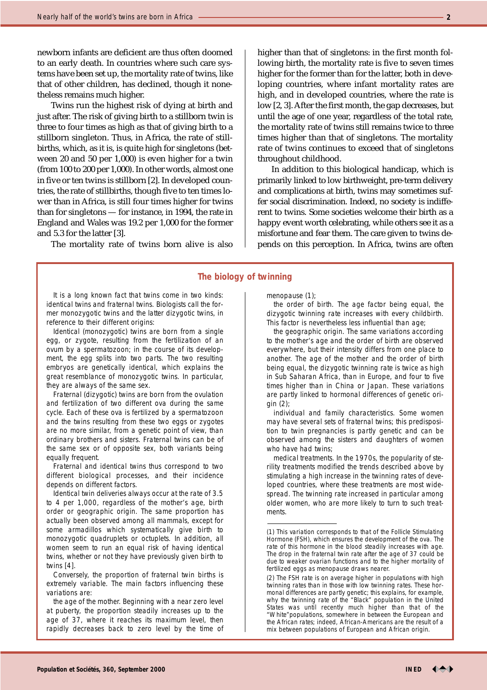newborn infants are deficient are thus often doomed to an early death. In countries where such care systems have been set up, the mortality rate of twins, like that of other children, has declined, though it nonetheless remains much higher.

Twins run the highest risk of dying at birth and just after. The risk of giving birth to a stillborn twin is three to four times as high as that of giving birth to a stillborn singleton. Thus, in Africa, the rate of stillbirths, which, as it is, is quite high for singletons (between 20 and 50 per 1,000) is even higher for a twin (from 100 to 200 per 1,000). In other words, almost one in five or ten twins is stillborn [2]. In developed countries, the rate of stillbirths, though five to ten times lower than in Africa, is still four times higher for twins than for singletons — for instance, in 1994, the rate in England and Wales was 19.2 per 1,000 for the former and 5.3 for the latter [3].

The mortality rate of twins born alive is also

It is a long known fact that twins come in two kinds: identical twins and fraternal twins. Biologists call the former monozygotic twins and the latter dizygotic twins, in reference to their different origins:

*Identical (monozygotic) twins* are born from a single egg, or zygote, resulting from the fertilization of an ovum by a spermatozoon; in the course of its development, the egg splits into two parts. The two resulting embryos are genetically identical, which explains the great resemblance of monozygotic twins. In particular, they are always of the same sex.

*Fraternal (dizygotic) twins* are born from the ovulation and fertilization of two different ova during the same cycle. Each of these ova is fertilized by a spermatozoon and the twins resulting from these two eggs or zygotes are no more similar, from a genetic point of view, than ordinary brothers and sisters. Fraternal twins can be of the same sex or of opposite sex, both variants being equally frequent.

Fraternal and identical twins thus correspond to two different biological processes, and their incidence depends on different factors.

Identical twin deliveries always occur at the rate of 3.5 to 4 per 1,000, regardless of the mother's age, birth order or geographic origin. The same proportion has actually been observed among all mammals, except for some armadillos which systematically give birth to monozygotic quadruplets or octuplets. In addition, all women seem to run an equal risk of having identical twins, whether or not they have previously given birth to twins [4].

Conversely, the proportion of fraternal twin births is extremely variable. The main factors influencing these variations are:

*the age of the mother.* Beginning with a near zero level at puberty, the proportion steadily increases up to the age of 37, where it reaches its maximum level, then rapidly decreases back to zero level by the time of higher than that of singletons: in the first month following birth, the mortality rate is five to seven times higher for the former than for the latter, both in developing countries, where infant mortality rates are high, and in developed countries, where the rate is low [2, 3]. After the first month, the gap decreases, but until the age of one year, regardless of the total rate, the mortality rate of twins still remains twice to three times higher than that of singletons. The mortality rate of twins continues to exceed that of singletons throughout childhood.

In addition to this biological handicap, which is primarily linked to low birthweight, pre-term delivery and complications at birth, twins may sometimes suffer social discrimination. Indeed, no society is indifferent to twins. Some societies welcome their birth as a happy event worth celebrating, while others see it as a misfortune and fear them. The care given to twins depends on this perception. In Africa, twins are often

#### **The biology of twinning**

menopause (1);

*the order of birth.* The age factor being equal, the dizygotic twinning rate increases with every childbirth. This factor is nevertheless less influential than age;

*the geographic origin.* The same variations according to the mother's age and the order of birth are observed everywhere, but their intensity differs from one place to another. The age of the mother and the order of birth being equal, the dizygotic twinning rate is twice as high in Sub Saharan Africa, than in Europe, and four to five times higher than in China or Japan. These variations are partly linked to hormonal differences of genetic origin (2);

*individual and family characteristics.* Some women may have several sets of fraternal twins; this predisposition to twin pregnancies is partly genetic and can be observed among the sisters and daughters of women who have had twins;

*medical treatments.* In the 1970s, the popularity of sterility treatments modified the trends described above by stimulating a high increase in the twinning rates of developed countries, where these treatments are most widespread. The twinning rate increased in particular among older women, who are more likely to turn to such treatments.



<sup>(1)</sup> This variation corresponds to that of the Follicle Stimulating Hormone (FSH), which ensures the development of the ova. The rate of this hormone in the blood steadily increases with age. The drop in the fraternal twin rate after the age of 37 could be due to weaker ovarian functions and to the higher mortality of fertilized eggs as menopause draws nearer.

<sup>(2)</sup> The FSH rate is on average higher in populations with high twinning rates than in those with low twinning rates. These hormonal differences are partly genetic; this explains, for example, why the twinning rate of the "Black" population in the United States was until recently much higher than that of the "White"populations, somewhere in between the European and the African rates; indeed, African-Americans are the result of a mix between populations of European and African origin.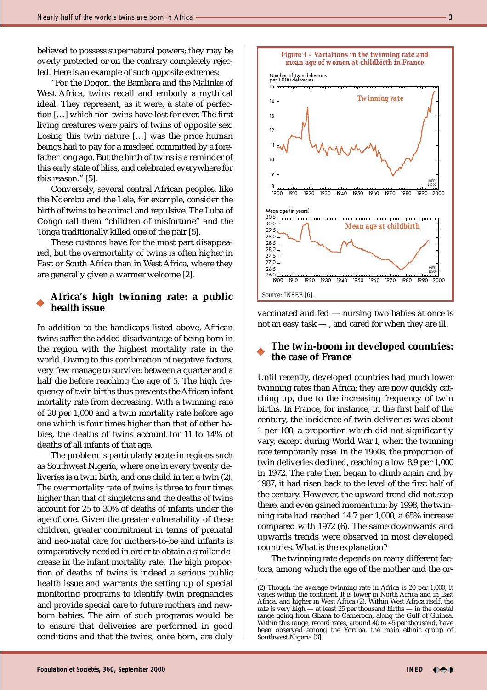believed to possess supernatural powers; they may be overly protected or on the contrary completely rejected. Here is an example of such opposite extremes:

"For the Dogon, the Bambara and the Malinke of West Africa, twins recall and embody a mythical ideal. They represent, as it were, a state of perfection […] which non-twins have lost for ever. The first living creatures were pairs of twins of opposite sex. Losing this twin nature […] was the price human beings had to pay for a misdeed committed by a forefather long ago. But the birth of twins is a reminder of this early state of bliss, and celebrated everywhere for this reason." [5].

Conversely, several central African peoples, like the Ndembu and the Lele, for example, consider the birth of twins to be animal and repulsive. The Luba of Congo call them "children of misfortune" and the Tonga traditionally killed one of the pair [5].

These customs have for the most part disappeared, but the overmortality of twins is often higher in East or South Africa than in West Africa, where they are generally given a warmer welcome [2].

#### **Africa's high twinning rate: a public health issue**

In addition to the handicaps listed above, African twins suffer the added disadvantage of being born in the region with the highest mortality rate in the world. Owing to this combination of negative factors, very few manage to survive: between a quarter and a half die before reaching the age of 5. The high frequency of twin births thus prevents the African infant mortality rate from decreasing. With a twinning rate of 20 per 1,000 and a twin mortality rate before age one which is four times higher than that of other babies, the deaths of twins account for 11 to 14% of deaths of all infants of that age.

The problem is particularly acute in regions such as Southwest Nigeria, where one in every twenty deliveries is a twin birth, and one child in ten a twin (2). The overmortality rate of twins is three to four times higher than that of singletons and the deaths of twins account for 25 to 30% of deaths of infants under the age of one. Given the greater vulnerability of these children, greater commitment in terms of prenatal and neo-natal care for mothers-to-be and infants is comparatively needed in order to obtain a similar decrease in the infant mortality rate. The high proportion of deaths of twins is indeed a serious public health issue and warrants the setting up of special monitoring programs to identify twin pregnancies and provide special care to future mothers and newborn babies. The aim of such programs would be to ensure that deliveries are performed in good conditions and that the twins, once born, are duly



vaccinated and fed — nursing two babies at once is not an easy task — , and cared for when they are ill.

## **The twin-boom in developed countries: the case of France**

Until recently, developed countries had much lower twinning rates than Africa; they are now quickly catching up, due to the increasing frequency of twin births. In France, for instance, in the first half of the century, the incidence of twin deliveries was about 1 per 100, a proportion which did not significantly vary, except during World War I, when the twinning rate temporarily rose. In the 1960s, the proportion of twin deliveries declined, reaching a low 8.9 per 1,000 in 1972. The rate then began to climb again and by 1987, it had risen back to the level of the first half of the century. However, the upward trend did not stop there, and even gained momentum: by 1998, the twinning rate had reached 14.7 per 1,000, a 65% increase compared with 1972 (6). The same downwards and upwards trends were observed in most developed countries. What is the explanation?

The twinning rate depends on many different factors, among which the age of the mother and the or-

<sup>(2)</sup> Though the average twinning rate in Africa is 20 per 1,000, it varies within the continent. It is lower in North Africa and in East Africa, and higher in West Africa (2). Within West Africa itself, the rate is very high — at least 25 per thousand births — in the coastal range going from Ghana to Cameroon, along the Gulf of Guinea. Within this range, record rates, around 40 to 45 per thousand, have been observed among the Yoruba, the main ethnic group of Southwest Nigeria [3].